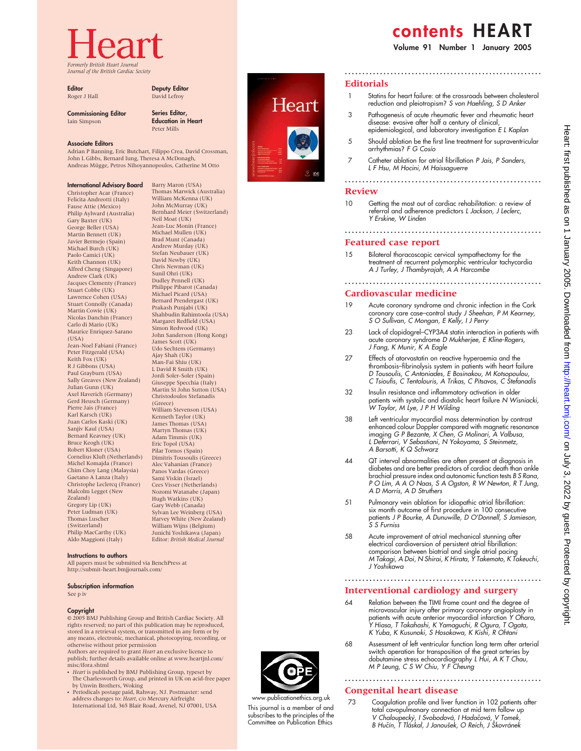# Formerly British Heart Journal Journal of the British Cardiac Society

**Editor** 

Roger J Hall

Deputy Editor David Lefroy Series Editor,

Education in Heart Peter Mills

Barry Maron (USA)

Commissioning Editor Iain Simpson

#### Associate Editors

Adrian P Banning, Eric Butchart, Filippo Crea, David Crossman, John L Gibbs, Bernard Iung, Theresa A McDonagh, Andreas Mügge, Petros Nihoyannopoulos, Catherine M Otto

#### International Advisory Board

Christopher Acar (France) Felicita Andreotti (Italy) Fause Attie (Mexico) Philip Aylward (Australia) Gary Baxter (UK) George Beller (USA) Martin Bennett (UK) Javier Bermejo (Spain) Michael Burch (UK) Paolo Camici (UK) Keith Channon (UK) Alfred Cheng (Singapore) Andrew Clark (UK) Jacques Clementy (France) Stuart Cobbe (UK) Lawrence Cohen (USA) Stuart Connolly (Canada) Martin Cowie (UK) Nicolas Danchin (France) Carlo di Mario (UK) Maurice Enriquez-Sarano  $(USA)$ Jean-Noel Fabiani (France) Peter Fitzgerald (USA) Keith Fox (UK) R J Gibbons (USA) Paul Grayburn (USA) Sally Greaves (New Zealand) Julian Gunn (UK) Axel Haverich (Germany) Gerd Heusch (Germany) Pierre Jais (France) Karl Karsch (UK) Juan Carlos Kaski (UK) Sanjiv Kaul (USA) Bernard Keavney (UK) Bruce Keogh (UK) Robert Kloner (USA) Cornelius Kluft (Netherlands) Michel Komajda (France) Chim Choy Lang (Malaysia) Gaetano A Lanza (Italy) Christophe Leclercq (France) Malcolm Legget (New Zealand) Gregory Lip (UK) Peter Ludman (UK) Thomas Luscher (Switzerland) Philip MacCarthy (UK) Aldo Maggioni (Italy)

Thomas Marwick (Australia) William McKenna (UK) John McMurray (UK) Bernhard Meier (Switzerland) Neil Moat (UK) Jean-Luc Monin (France) Michael Mullen (UK) Brad Munt (Canada) Andrew Murday (UK) Stefan Neubauer (UK) David Newby (UK) Chris Newman (UK) Sunil Ohri (UK) Dudley Pennell (UK) Philippe Pibarot (Canada) Michael Picard (USA) Bernard Prendergast (UK) Prakash Punjabi (UK) Shahbudin Rahimtoola (USA) Margaret Redfield (USA) Simon Redwood (UK) John Sanderson (Hong Kong) James Scott (UK) Udo Sechtem (Germany) Ajay Shah (UK) Man-Fai Shiu (UK) L David R Smith (UK) Jordi Soler-Soler (Spain) Giuseppe Specchia (Italy) Martin St John Sutton (USA) Christodoulos Stefanadis (Greece) William Stevenson (USA) Kenneth Taylor (UK) James Thomas (USA) Martyn Thomas (UK) Adam Timmis (UK) Eric Topol (USA) Pilar Tornos (Spain) Dimitris Tousoulis (Greece) Alec Vahanian (France) Panos Vardas (Greece) Sami Viskin (Israel) Cees Visser (Netherlands) Nozomi Watanabe (Japan) Hugh Watkins (UK) Gary Webb (Canada) Sylvan Lee Weinberg (USA) Harvey White (New Zealand) William Wijns (Belgium) Junichi Yoshikawa (Japan) Editor: British Medical Journal

#### Instructions to authors

All papers must be submitted via BenchPress at http://submit-heart.bmjjournals.com/

Subscription information See p iv

#### Copyright

 $@$  2005 BMJ Publishing Group and British Cardiac Society. All rights reserved; no part of this publication may be reproduced, stored in a retrieval system, or transmitted in any form or by any means, electronic, mechanical, photocopying, recording, or otherwise without prior permission

Authors are required to grant Heart an exclusive licence to<br>publish; further details available online at www.heartjnl.com/ misc/ifora.shtml

- Heart is published by BMJ Publishing Group, typeset by<br>The Charlesworth Group, and printed in UK on acid-free paper by Unwin Brothers, Woking
- Periodicals postage paid, Rahway, NJ. Postmaster: send address changes to: Heart, c/o Mercury Airfreight International Ltd, 365 Blair Road, Avenel, NJ 07001, USA

# **Editorials**

1 Statins for heart failure: at the crossroads between cholesterol reduction and pleiotropism? S von Haehling, S D Anker

........................................................

- 3 Pathogenesis of acute rheumatic fever and rheumatic heart disease: evasive after half a century of clinical, epidemiological, and laboratory investigation E L Kaplan
- 5 Should ablation be the first line treatment for supraventricular arrhythmias? F G Cosío
- 7 Catheter ablation for atrial fibrillation P Jais, P Sanders, L F Hsu, M Hocini, M Haissaguerre ........................................................

#### Review

10 Getting the most out of cardiac rehabilitation: a review of referral and adherence predictors L Jackson, J Leclerc, Y Erskine, W Linden

........................................................

#### Featured case report

15 Bilateral thoracoscopic cervical sympathectomy for the treatment of recurrent polymorphic ventricular tachycardia A J Turley, J Thambyrajah, A A Harcombe

#### Cardiovascular medicine

19 Acute coronary syndrome and chronic infection in the Cork coronary care case–control study J Sheehan, P M Kearney, S O Sullivan, C Mongan, E Kelly, I J Perry

........................................................

- 23 Lack of clopidogrel–CYP3A4 statin interaction in patients with acute coronary syndrome D Mukherjee, E Kline-Rogers, J Fang, K Munir, K A Eagle
- 27 Effects of atorvastatin on reactive hyperaemia and the thrombosis–fibrinolysis system in patients with heart failure D Tousoulis, C Antoniades, E Bosinakou, M Kotsopoulou, C Tsioufis, C Tentolouris, A Trikas, C Pitsavos, C Stefanadis
- 32 Insulin resistance and inflammatory activation in older patients with systolic and diastolic heart failure N Wisniacki, W Taylor, M Lye, J P H Wilding
- 38 Left ventricular myocardial mass determination by contrast enhanced colour Doppler compared with magnetic resonance imaging G P Bezante, X Chen, G Molinari, A Valbusa, L Deferrari, V Sebastiani, N Yokoyama, S Steinmetz, A Barsotti, K Q Schwarz
- 44 QT interval abnormalities are often present at diagnosis in diabetes and are better predictors of cardiac death than ankle brachial pressure index and autonomic function tests B S Rana, P O Lim, A A O Naas, S A Ogston, R W Newton, R T Jung, A D Morris, A D Struthers
- 51 Pulmonary vein ablation for idiopathic atrial fibrillation: six month outcome of first procedure in 100 consecutive patients J P Bourke, A Dunuwille, D O'Donnell, S Jamieson, S S Furniss
- 58 Acute improvement of atrial mechanical stunning after electrical cardioversion of persistent atrial fibrillation: comparison between biatrial and single atrial pacing M Takagi, A Doi, N Shirai, K Hirata, Y Takemoto, K Takeuchi, J Yoshikawa

........................................................

# Interventional cardiology and surgery

- 64 Relation between the TIMI frame count and the degree of microvascular injury after primary coronary angioplasty in patients with acute anterior myocardial infarction Y Ohara, Y Hiasa, T Takahashi, K Yamaguchi, R Ogura, T Ogata, K Yuba, K Kusunoki, S Hosokawa, K Kishi, R Ohtani
- 68 Assessment of left ventricular function long term after arterial switch operation for transposition of the great arteries by<br>dobutamine stress echocardiography *L Hui, A K T Chau,* M P Leung, C S W Chiu, Y F Cheung

........................................................

## Congenital heart disease

www.publicationethics.org.uk This journal is a member of and subscribes to the principles of the Committee on Publication Ethics

73 Coagulation profile and liver function in 102 patients after total cavopulmonary connection at mid term follow up V Chaloupecký, I Svobodová, I Hadačová, V Tomek, B Hučín, T Tláskal, J Janoušek, O Reich, J Škovránek





# contents HEART Volume 91 Number 1 January 2005